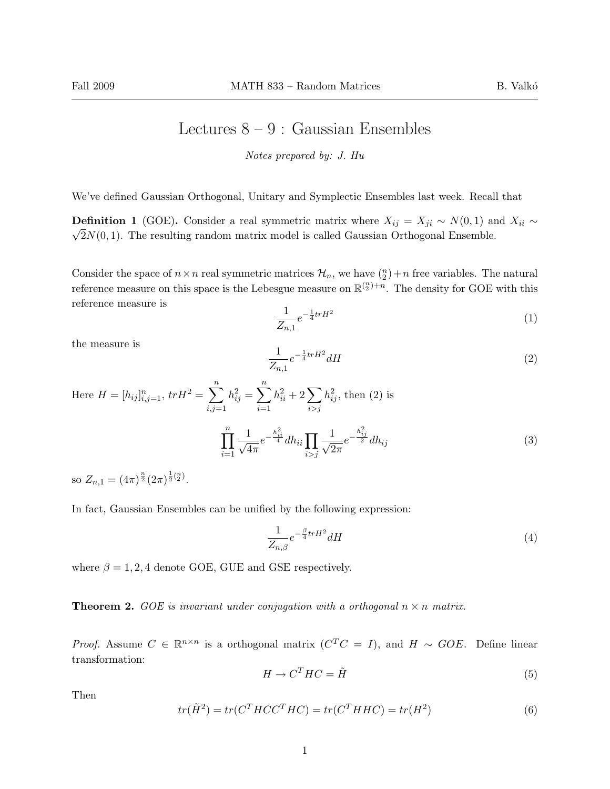## Lectures  $8 - 9$ : Gaussian Ensembles

Notes prepared by: J. Hu

We've defined Gaussian Orthogonal, Unitary and Symplectic Ensembles last week. Recall that

**Definition 1** (GOE). Consider a real symmetric matrix where  $X_{ij} = X_{ji} \sim N(0, 1)$  and  $X_{ii} \sim$  $\sqrt{2}N(0, 1)$ . The resulting random matrix model is called Gaussian Orthogonal Ensemble.

Consider the space of  $n \times n$  real symmetric matrices  $\mathcal{H}_n$ , we have  $\binom{n}{2} + n$  free variables. The natural reference measure on this space is the Lebesgue measure on  $\mathbb{R}^{n \choose 2} + n$ . The density for GOE with this reference measure is

$$
\frac{1}{Z_{n,1}}e^{-\frac{1}{4}trH^2}
$$
 (1)

the measure is

$$
\frac{1}{Z_{n,1}}e^{-\frac{1}{4}trH^2}dH\tag{2}
$$

Here 
$$
H = [h_{ij}]_{i,j=1}^n
$$
,  $trH^2 = \sum_{i,j=1}^n h_{ij}^2 = \sum_{i=1}^n h_{ii}^2 + 2 \sum_{i>j} h_{ij}^2$ , then (2) is  

$$
\prod_{i=1}^n \frac{1}{\sqrt{4\pi}} e^{-\frac{h_{ii}^2}{4}} dh_{ii} \prod_{i>j} \frac{1}{\sqrt{2\pi}} e^{-\frac{h_{ij}^2}{2}} dh_{ij}
$$
(3)

so  $Z_{n,1} = (4\pi)^{\frac{n}{2}} (2\pi)^{\frac{1}{2} {n \choose 2}}$ .

In fact, Gaussian Ensembles can be unified by the following expression:

$$
\frac{1}{Z_{n,\beta}}e^{-\frac{\beta}{4}trH^2}dH\tag{4}
$$

where  $\beta = 1, 2, 4$  denote GOE, GUE and GSE respectively.

**Theorem 2.** GOE is invariant under conjugation with a orthogonal  $n \times n$  matrix.

*Proof.* Assume  $C \in \mathbb{R}^{n \times n}$  is a orthogonal matrix  $(C^T C = I)$ , and  $H \sim GOE$ . Define linear transformation:

$$
H \to C^T H C = \tilde{H}
$$
\n<sup>(5)</sup>

Then

$$
tr(\tilde{H}^2) = tr(C^T H C C^T H C) = tr(C^T H H C) = tr(H^2)
$$
\n<sup>(6)</sup>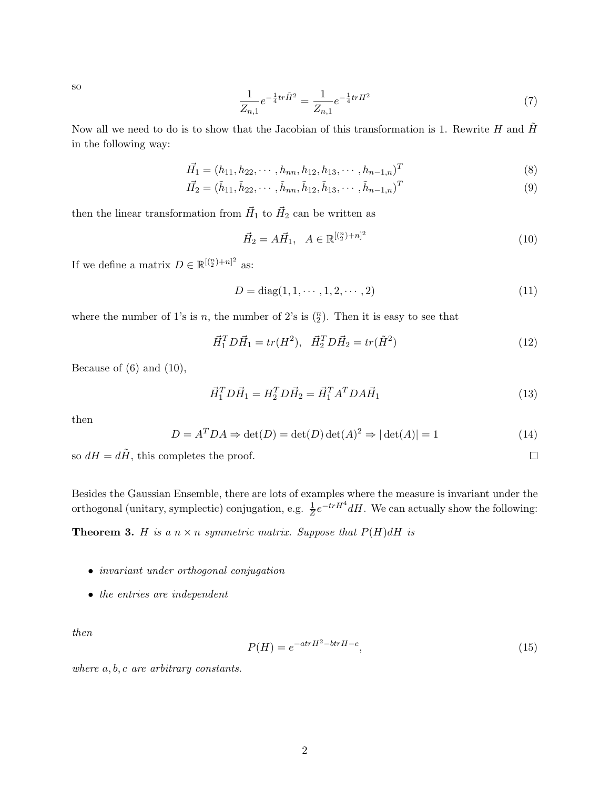so

$$
\frac{1}{Z_{n,1}}e^{-\frac{1}{4}tr\tilde{H}^2} = \frac{1}{Z_{n,1}}e^{-\frac{1}{4}trH^2}
$$
\n(7)

Now all we need to do is to show that the Jacobian of this transformation is 1. Rewrite  $H$  and  $H$ in the following way:

$$
\vec{H}_1 = (h_{11}, h_{22}, \cdots, h_{nn}, h_{12}, h_{13}, \cdots, h_{n-1,n})^T
$$
\n(8)

$$
\vec{H_2} = (\tilde{h}_{11}, \tilde{h}_{22}, \cdots, \tilde{h}_{nn}, \tilde{h}_{12}, \tilde{h}_{13}, \cdots, \tilde{h}_{n-1,n})^T
$$
\n(9)

then the linear transformation from  $\vec{H}_1$  to  $\vec{H}_2$  can be written as

$$
\vec{H}_2 = A\vec{H}_1, \quad A \in \mathbb{R}^{[(\frac{n}{2})+n]^2}
$$
\n(10)

If we define a matrix  $D \in \mathbb{R}^{(\binom{n}{2}+n)^2}$  as:

$$
D = diag(1, 1, \cdots, 1, 2, \cdots, 2)
$$
\n(11)

where the number of 1's is n, the number of 2's is  $\binom{n}{2}$ . Then it is easy to see that

$$
\vec{H}_1^T D \vec{H}_1 = tr(H^2), \quad \vec{H}_2^T D \vec{H}_2 = tr(\tilde{H}^2)
$$
\n(12)

Because of  $(6)$  and  $(10)$ ,

$$
\vec{H}_1^T D \vec{H}_1 = H_2^T D \vec{H}_2 = \vec{H}_1^T A^T D A \vec{H}_1
$$
\n(13)

 $\Box$ 

then

$$
D = AT DA \Rightarrow \det(D) = \det(D)\det(A)2 \Rightarrow |\det(A)| = 1
$$
\n(14)

so  $dH = d\tilde{H}$ , this completes the proof.

Besides the Gaussian Ensemble, there are lots of examples where the measure is invariant under the orthogonal (unitary, symplectic) conjugation, e.g.  $\frac{1}{Z}e^{-trH^4}dH$ . We can actually show the following:

**Theorem 3.** H is a  $n \times n$  symmetric matrix. Suppose that  $P(H)dH$  is

- *invariant under orthogonal conjugation*
- the entries are independent

then

$$
P(H) = e^{-atrH^2 - btrH - c},\tag{15}
$$

where  $a, b, c$  are arbitrary constants.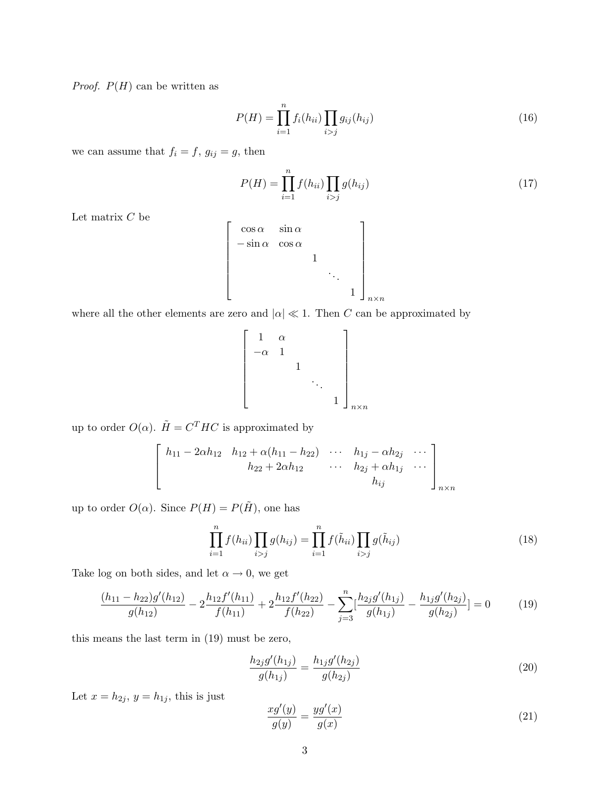*Proof.*  $P(H)$  can be written as

$$
P(H) = \prod_{i=1}^{n} f_i(h_{ii}) \prod_{i>j} g_{ij}(h_{ij})
$$
\n(16)

we can assume that  $f_i = f, g_{ij} = g$ , then

$$
P(H) = \prod_{i=1}^{n} f(h_{ii}) \prod_{i > j} g(h_{ij})
$$
\n(17)

Let matrix  $\mathcal C$  be

$$
\begin{bmatrix}\n\cos \alpha & \sin \alpha & & \\
-\sin \alpha & \cos \alpha & & \\
& & 1 & \\
& & & \ddots & \\
& & & & 1\n\end{bmatrix}_{n \times n}
$$

where all the other elements are zero and  $|\alpha| \ll 1$ . Then C can be approximated by

$$
\begin{bmatrix} 1 & \alpha & & & \\ -\alpha & 1 & & & \\ & & 1 & & \\ & & & \ddots & \\ & & & & 1 \end{bmatrix}_{n \times n}
$$

up to order  $O(\alpha)$ .  $\tilde{H} = C^{T} H C$  is approximated by

$$
\begin{bmatrix} h_{11} - 2\alpha h_{12} & h_{12} + \alpha(h_{11} - h_{22}) & \cdots & h_{1j} - \alpha h_{2j} & \cdots \\ h_{22} + 2\alpha h_{12} & \cdots & h_{2j} + \alpha h_{1j} & \cdots \\ h_{ij} & & & h_{ij} \end{bmatrix}_{n \times n}
$$

up to order  $O(\alpha)$ . Since  $P(H) = P(\tilde{H})$ , one has

$$
\prod_{i=1}^{n} f(h_{ii}) \prod_{i > j} g(h_{ij}) = \prod_{i=1}^{n} f(\tilde{h}_{ii}) \prod_{i > j} g(\tilde{h}_{ij}) \tag{18}
$$

Take log on both sides, and let  $\alpha \to 0$ , we get

$$
\frac{(h_{11} - h_{22})g'(h_{12})}{g(h_{12})} - 2\frac{h_{12}f'(h_{11})}{f(h_{11})} + 2\frac{h_{12}f'(h_{22})}{f(h_{22})} - \sum_{j=3}^{n} \left[\frac{h_{2j}g'(h_{1j})}{g(h_{1j})} - \frac{h_{1j}g'(h_{2j})}{g(h_{2j})}\right] = 0\tag{19}
$$

this means the last term in (19) must be zero,

$$
\frac{h_{2j}g'(h_{1j})}{g(h_{1j})} = \frac{h_{1j}g'(h_{2j})}{g(h_{2j})}
$$
\n(20)

Let  $x = h_{2j}$ ,  $y = h_{1j}$ , this is just

$$
\frac{xg'(y)}{g(y)} = \frac{yg'(x)}{g(x)}\tag{21}
$$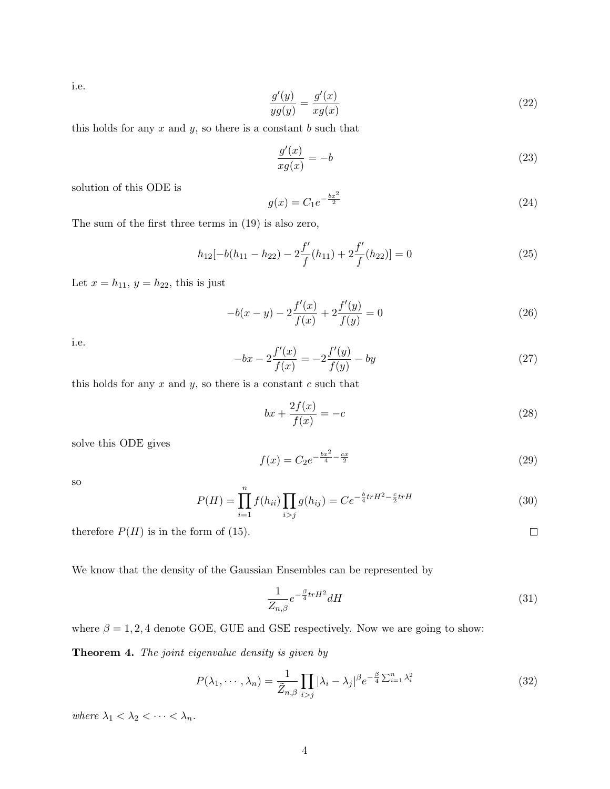i.e.

$$
\frac{g'(y)}{yg(y)} = \frac{g'(x)}{xg(x)}\tag{22}
$$

this holds for any  $x$  and  $y$ , so there is a constant  $b$  such that

$$
\frac{g'(x)}{xg(x)} = -b\tag{23}
$$

solution of this ODE is

$$
g(x) = C_1 e^{-\frac{bx^2}{2}}
$$
\n(24)

The sum of the first three terms in (19) is also zero,

$$
h_{12}[-b(h_{11}-h_{22})-2\frac{f'}{f}(h_{11})+2\frac{f'}{f}(h_{22})]=0
$$
\n(25)

Let  $x = h_{11}$ ,  $y = h_{22}$ , this is just

$$
-b(x-y) - 2\frac{f'(x)}{f(x)} + 2\frac{f'(y)}{f(y)} = 0
$$
\n(26)

i.e.

$$
-bx - 2\frac{f'(x)}{f(x)} = -2\frac{f'(y)}{f(y)} - by
$$
\n(27)

this holds for any  $x$  and  $y$ , so there is a constant  $c$  such that

$$
bx + \frac{2f(x)}{f(x)} = -c \tag{28}
$$

solve this ODE gives

$$
f(x) = C_2 e^{-\frac{bx^2}{4} - \frac{cx}{2}}
$$
\n(29)

so

$$
P(H) = \prod_{i=1}^{n} f(h_{ii}) \prod_{i > j} g(h_{ij}) = Ce^{-\frac{b}{4}trH^2 - \frac{c}{2}trH} \tag{30}
$$

therefore  $P(H)$  is in the form of (15).

We know that the density of the Gaussian Ensembles can be represented by

$$
\frac{1}{Z_{n,\beta}}e^{-\frac{\beta}{4}trH^2}dH\tag{31}
$$

 $\Box$ 

where  $\beta = 1, 2, 4$  denote GOE, GUE and GSE respectively. Now we are going to show:

Theorem 4. The joint eigenvalue density is given by

$$
P(\lambda_1, \cdots, \lambda_n) = \frac{1}{\tilde{Z}_{n,\beta}} \prod_{i > j} |\lambda_i - \lambda_j|^\beta e^{-\frac{\beta}{4} \sum_{i=1}^n \lambda_i^2} \tag{32}
$$

where  $\lambda_1 < \lambda_2 < \cdots < \lambda_n$ .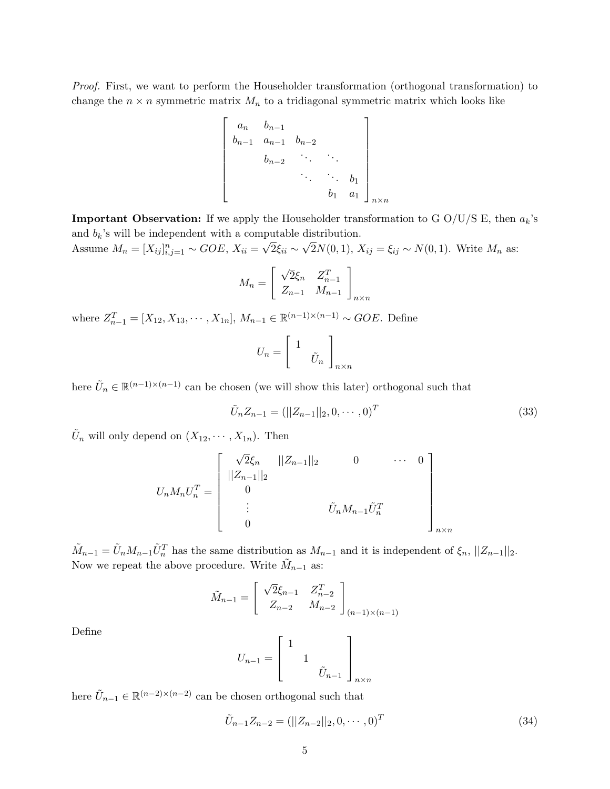Proof. First, we want to perform the Householder transformation (orthogonal transformation) to change the  $n \times n$  symmetric matrix  $M_n$  to a tridiagonal symmetric matrix which looks like

$$
\begin{bmatrix} a_n & b_{n-1} & & & \\ b_{n-1} & a_{n-1} & b_{n-2} & & \\ & b_{n-2} & \cdots & \ddots & \\ & & \ddots & \ddots & b_1 \\ & & & b_1 & a_1 \end{bmatrix}_{n \times n}
$$

**Important Observation:** If we apply the Householder transformation to G O/U/S E, then  $a_k$ 's and  $b_k$ 's will be independent with a computable distribution. √ √

Assume  $M_n = [X_{ij}]_{i,j=1}^n \sim GOE, X_{ii} =$  $2\xi_{ii} \sim$  $2N(0, 1), X_{ij} = \xi_{ij} \sim N(0, 1)$ . Write  $M_n$  as:

$$
M_n = \begin{bmatrix} \sqrt{2}\xi_n & Z_{n-1}^T \\ Z_{n-1} & M_{n-1} \end{bmatrix}_{n \times n}
$$

where  $Z_{n-1}^T = [X_{12}, X_{13}, \cdots, X_{1n}], M_{n-1} \in \mathbb{R}^{(n-1)\times(n-1)} \sim GOE$ . Define

$$
U_n = \left[ \begin{array}{c} 1 \\ & \tilde{U}_n \end{array} \right]_{n \times n}
$$

here  $\tilde{U}_n \in \mathbb{R}^{(n-1)\times (n-1)}$  can be chosen (we will show this later) orthogonal such that

$$
\tilde{U}_n Z_{n-1} = (||Z_{n-1}||_2, 0, \cdots, 0)^T
$$
\n(33)

 $\tilde{U}_n$  will only depend on  $(X_{12}, \cdots, X_{1n})$ . Then

$$
U_n M_n U_n^T = \begin{bmatrix} \sqrt{2} \xi_n & ||Z_{n-1}||_2 & 0 & \cdots & 0 \\ ||Z_{n-1}||_2 & & & & \\ 0 & & & & \\ \vdots & & & \tilde{U}_n M_{n-1} \tilde{U}_n^T \\ 0 & & & & \end{bmatrix}_{n \times n}
$$

 $\tilde{M}_{n-1} = \tilde{U}_n M_{n-1} \tilde{U}_n^T$  has the same distribution as  $M_{n-1}$  and it is independent of  $\xi_n$ ,  $||Z_{n-1}||_2$ . Now we repeat the above procedure. Write  $\tilde{M}_{n-1}$  as:

$$
\tilde{M}_{n-1} = \begin{bmatrix}\n\sqrt{2}\xi_{n-1} & Z_{n-2}^T \\
Z_{n-2} & M_{n-2}\n\end{bmatrix}_{(n-1)\times(n-1)}
$$

Define

$$
U_{n-1} = \begin{bmatrix} 1 & & \\ & 1 & \\ & & \tilde{U}_{n-1} \end{bmatrix}_{n \times n}
$$

here  $\tilde{U}_{n-1} \in \mathbb{R}^{(n-2)\times(n-2)}$  can be chosen orthogonal such that

$$
\tilde{U}_{n-1}Z_{n-2} = (||Z_{n-2}||_2, 0, \cdots, 0)^T
$$
\n(34)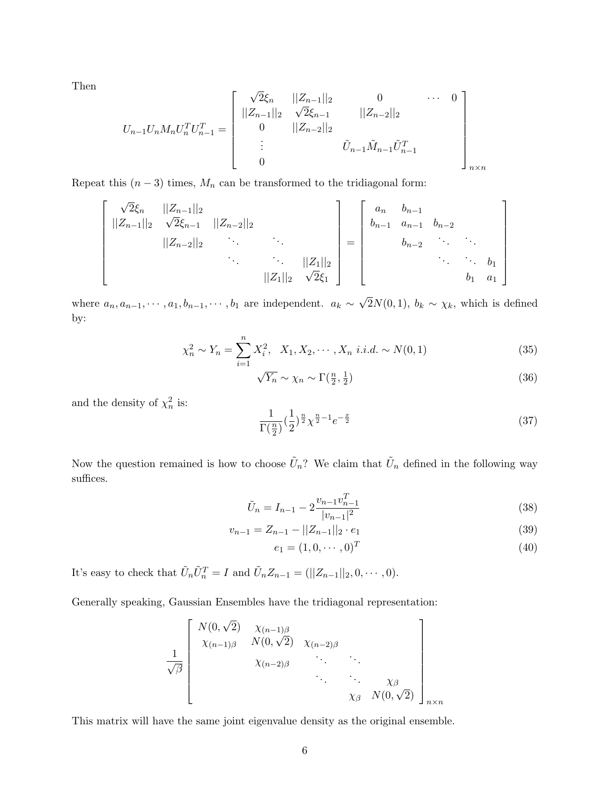Then

$$
U_{n-1}U_nM_nU_n^TU_{n-1}^T = \begin{bmatrix} \sqrt{2}\xi_n & ||Z_{n-1}||_2 & 0 & \cdots & 0 \\ ||Z_{n-1}||_2 & \sqrt{2}\xi_{n-1} & ||Z_{n-2}||_2 \\ 0 & ||Z_{n-2}||_2 & \cdots & \cdots \\ \vdots & \vdots & \tilde{U}_{n-1}\tilde{M}_{n-1}\tilde{U}_{n-1}^T \\ 0 & \cdots & \cdots \end{bmatrix}_{n \times n}
$$

Repeat this  $(n-3)$  times,  $M_n$  can be transformed to the tridiagonal form:

$$
\begin{bmatrix}\n\sqrt{2}\xi_n & ||Z_{n-1}||_2 \\
||Z_{n-1}||_2 & \sqrt{2}\xi_{n-1} & ||Z_{n-2}||_2 \\
||Z_{n-2}||_2 & \ddots & \ddots & \ddots \\
& & & ||Z_1||_2 & \sqrt{2}\xi_1\n\end{bmatrix} = \begin{bmatrix}\na_n & b_{n-1} & & & \\
b_{n-1} & a_{n-1} & b_{n-2} & & \\
& & & \ddots & \ddots & \\
& & & & \ddots & b_1 \\
& & & & & b_1 & a_1\n\end{bmatrix}
$$

where  $a_n, a_{n-1}, \cdots, a_1, b_{n-1}, \cdots, b_1$  are independent.  $a_k \sim$ √  $2N(0, 1)$ ,  $b_k \sim \chi_k$ , which is defined by:

$$
\chi_n^2 \sim Y_n = \sum_{i=1}^n X_i^2, \quad X_1, X_2, \cdots, X_n \quad i.i.d. \sim N(0, 1) \tag{35}
$$

$$
\sqrt{Y_n} \sim \chi_n \sim \Gamma(\frac{n}{2}, \frac{1}{2})
$$
\n(36)

and the density of  $\chi^2_n$  is:

$$
\frac{1}{\Gamma(\frac{n}{2})} (\frac{1}{2})^{\frac{n}{2}} \chi^{\frac{n}{2} - 1} e^{-\frac{x}{2}}
$$
\n(37)

Now the question remained is how to choose  $\tilde{U}_n$ ? We claim that  $\tilde{U}_n$  defined in the following way suffices.

$$
\tilde{U}_n = I_{n-1} - 2 \frac{v_{n-1} v_{n-1}^T}{|v_{n-1}|^2} \tag{38}
$$

$$
v_{n-1} = Z_{n-1} - ||Z_{n-1}||_2 \cdot e_1 \tag{39}
$$

$$
e_1 = (1, 0, \cdots, 0)^T
$$
\n(40)

It's easy to check that  $\tilde{U}_n \tilde{U}_n^T = I$  and  $\tilde{U}_n Z_{n-1} = (||Z_{n-1}||_2, 0, \dots, 0)$ .

Generally speaking, Gaussian Ensembles have the tridiagonal representation:

$$
\frac{1}{\sqrt{\beta}} \begin{bmatrix} N(0,\sqrt{2}) & \chi_{(n-1)\beta} & & & \\ \chi_{(n-1)\beta} & N(0,\sqrt{2}) & \chi_{(n-2)\beta} & & \\ & \chi_{(n-2)\beta} & & \ddots & \ddots & \\ & & \ddots & \ddots & \chi_{\beta} \\ & & & \chi_{\beta} & N(0,\sqrt{2}) \end{bmatrix}_{n \times n}
$$

This matrix will have the same joint eigenvalue density as the original ensemble.